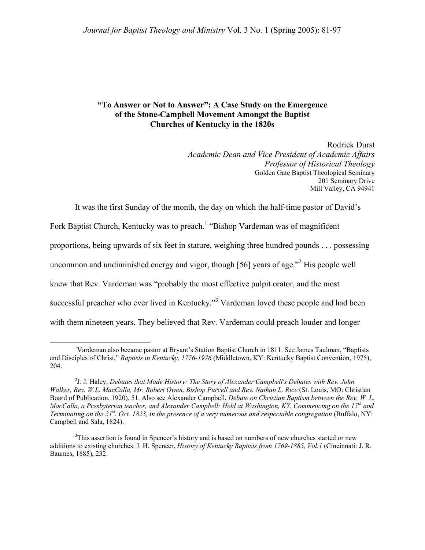## **"To Answer or Not to Answer": A Case Study on the Emergence of the Stone-Campbell Movement Amongst the Baptist Churches of Kentucky in the 1820s**

Rodrick Durst *Academic Dean and Vice President of Academic Affairs Professor of Historical Theology*  Golden Gate Baptist Theological Seminary 201 Seminary Drive Mill Valley, CA 94941

It was the first Sunday of the month, the day on which the half-time pastor of David's

Fork Baptist Church, Kentucky was to preach.<sup>[1](#page-0-0)</sup> "Bishop Vardeman was of magnificent

proportions, being upwards of six feet in stature, weighing three hundred pounds . . . possessing

uncommon and undiminished energy and vigor, though [56] years of age.<sup>3[2](#page-0-1)</sup> His people well

knew that Rev. Vardeman was "probably the most effective pulpit orator, and the most

successful preacher who ever lived in Kentucky."<sup>[3](#page-0-2)</sup> Vardeman loved these people and had been

with them nineteen years. They believed that Rev. Vardeman could preach louder and longer

<span id="page-0-0"></span> $\frac{1}{1}$ Vardeman also became pastor at Bryant's Station Baptist Church in 1811. See James Taulman, "Baptists and Disciples of Christ," *Baptists in Kentucky, 1776-1976* (Middletown, KY: Kentucky Baptist Convention, 1975), 204.

<span id="page-0-1"></span><sup>2</sup> J. J. Haley, *Debates that Made History: The Story of Alexander Campbell's Debates with Rev. John Walker, Rev. W.L. MacCalla, Mr. Robert Owen, Bishop Purcell and Rev. Nathan L. Rice* (St. Louis, MO: Christian Board of Publication, 1920), 51. Also see Alexander Campbell, *Debate on Christian Baptism between the Rev. W. L. MacCalla, a Presbyterian teacher, and Alexander Campbell: Held at Washington, KY. Commencing on the 15th and Terminating on the 21<sup>st</sup>. Oct. 1823, in the presence of a very numerous and respectable congregation (Buffalo, NY:* Campbell and Sala, 1824).

<span id="page-0-2"></span><sup>&</sup>lt;sup>3</sup>This assertion is found in Spencer's history and is based on numbers of new churches started or new additions to existing churches. J. H. Spencer, *History of Kentucky Baptists from 1769-1885, Vol.1* (Cincinnati: J. R. Baumes, 1885), 232.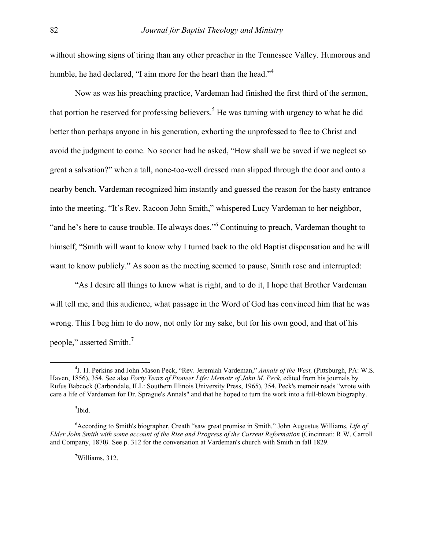without showing signs of tiring than any other preacher in the Tennessee Valley. Humorous and humble, he had declared, "I aim more for the heart than the head."<sup>4</sup>

Now as was his preaching practice, Vardeman had finished the first third of the sermon, that portion he reserved for professing believers.<sup>5</sup> He was turning with urgency to what he did better than perhaps anyone in his generation, exhorting the unprofessed to flee to Christ and avoid the judgment to come. No sooner had he asked, "How shall we be saved if we neglect so great a salvation?" when a tall, none-too-well dressed man slipped through the door and onto a nearby bench. Vardeman recognized him instantly and guessed the reason for the hasty entrance into the meeting. "It's Rev. Racoon John Smith," whispered Lucy Vardeman to her neighbor, "and he's here to cause trouble. He always does." Continuing to preach, Vardeman thought to himself, "Smith will want to know why I turned back to the old Baptist dispensation and he will want to know publicly." As soon as the meeting seemed to pause, Smith rose and interrupted:

"As I desire all things to know what is right, and to do it, I hope that Brother Vardeman will tell me, and this audience, what passage in the Word of God has convinced him that he was wrong. This I beg him to do now, not only for my sake, but for his own good, and that of his people," asserted Smith.<sup>[7](#page-1-3)</sup>

<span id="page-1-2"></span><span id="page-1-1"></span><sup>5</sup>Ibid.

<span id="page-1-3"></span>7 Williams, 312.

<span id="page-1-0"></span> $\frac{1}{4}$ <sup>4</sup>J. H. Perkins and John Mason Peck, "Rev. Jeremiah Vardeman," *Annals of the West*, (Pittsburgh, PA: W.S. Haven, 1856), 354. See also *Forty Years of Pioneer Life: Memoir of John M. Peck*, edited from his journals by Rufus Babcock (Carbondale, ILL: Southern Illinois University Press, 1965), 354. Peck's memoir reads "wrote with care a life of Vardeman for Dr. Sprague's Annals" and that he hoped to turn the work into a full-blown biography.

<sup>6</sup> According to Smith's biographer, Creath "saw great promise in Smith." John Augustus Williams, *Life of Elder John Smith with some account of the Rise and Progress of the Current Reformation* (Cincinnati: R.W. Carroll and Company, 1870*).* See p. 312 for the conversation at Vardeman's church with Smith in fall 1829.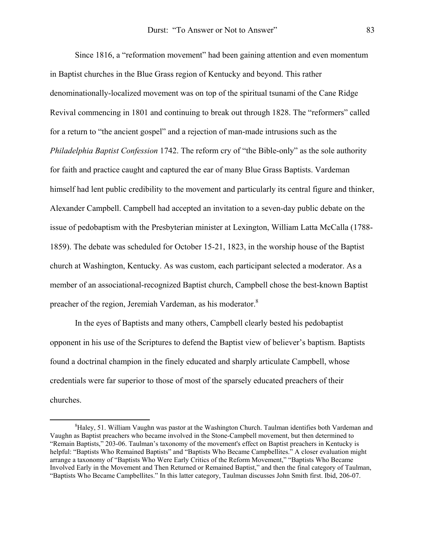Since 1816, a "reformation movement" had been gaining attention and even momentum in Baptist churches in the Blue Grass region of Kentucky and beyond. This rather denominationally-localized movement was on top of the spiritual tsunami of the Cane Ridge Revival commencing in 1801 and continuing to break out through 1828. The "reformers" called for a return to "the ancient gospel" and a rejection of man-made intrusions such as the *Philadelphia Baptist Confession* 1742. The reform cry of "the Bible-only" as the sole authority for faith and practice caught and captured the ear of many Blue Grass Baptists. Vardeman himself had lent public credibility to the movement and particularly its central figure and thinker, Alexander Campbell. Campbell had accepted an invitation to a seven-day public debate on the issue of pedobaptism with the Presbyterian minister at Lexington, William Latta McCalla (1788- 1859). The debate was scheduled for October 15-21, 1823, in the worship house of the Baptist church at Washington, Kentucky. As was custom, each participant selected a moderator. As a member of an associational-recognized Baptist church, Campbell chose the best-known Baptist preacher of the region, Jeremiah Vardeman, as his moderator.<sup>8</sup>

In the eyes of Baptists and many others, Campbell clearly bested his pedobaptist opponent in his use of the Scriptures to defend the Baptist view of believer's baptism. Baptists found a doctrinal champion in the finely educated and sharply articulate Campbell, whose credentials were far superior to those of most of the sparsely educated preachers of their churches.

<span id="page-2-0"></span> $\frac{1}{8}$  ${}^{8}$ Haley, 51. William Vaughn was pastor at the Washington Church. Taulman identifies both Vardeman and Vaughn as Baptist preachers who became involved in the Stone-Campbell movement, but then determined to "Remain Baptists," 203-06. Taulman's taxonomy of the movement's effect on Baptist preachers in Kentucky is helpful: "Baptists Who Remained Baptists" and "Baptists Who Became Campbellites." A closer evaluation might arrange a taxonomy of "Baptists Who Were Early Critics of the Reform Movement," "Baptists Who Became Involved Early in the Movement and Then Returned or Remained Baptist," and then the final category of Taulman, "Baptists Who Became Campbellites." In this latter category, Taulman discusses John Smith first. Ibid, 206-07.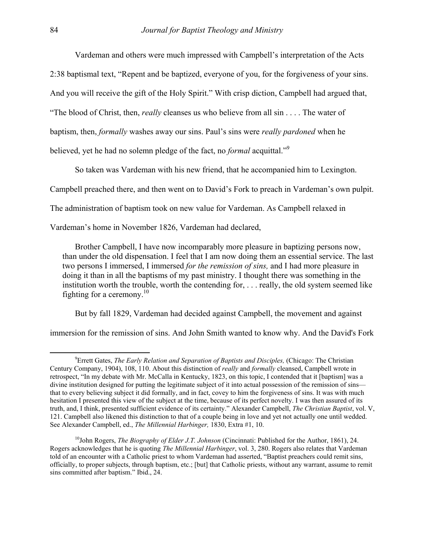Vardeman and others were much impressed with Campbell's interpretation of the Acts 2:38 baptismal text, "Repent and be baptized, everyone of you, for the forgiveness of your sins. And you will receive the gift of the Holy Spirit." With crisp diction, Campbell had argued that, "The blood of Christ, then, *really* cleanses us who believe from all sin . . . . The water of baptism, then, *formally* washes away our sins. Paul's sins were *really pardoned* when he believed, yet he had no solemn pledge of the fact, no *formal* acquittal."[9](#page-3-0)

So taken was Vardeman with his new friend, that he accompanied him to Lexington.

Campbell preached there, and then went on to David's Fork to preach in Vardeman's own pulpit.

The administration of baptism took on new value for Vardeman. As Campbell relaxed in

Vardeman's home in November 1826, Vardeman had declared,

Brother Campbell, I have now incomparably more pleasure in baptizing persons now, than under the old dispensation. I feel that I am now doing them an essential service. The last two persons I immersed, I immersed *for the remission of sins,* and I had more pleasure in doing it than in all the baptisms of my past ministry. I thought there was something in the institution worth the trouble, worth the contending for, . . . really, the old system seemed like fighting for a ceremony.<sup>10</sup>

But by fall 1829, Vardeman had decided against Campbell, the movement and against

immersion for the remission of sins. And John Smith wanted to know why. And the David's Fork

<span id="page-3-0"></span> $\frac{1}{9}$ <sup>9</sup> Errett Gates, *The Early Relation and Separation of Baptists and Disciples,* (Chicago: The Christian Century Company, 1904), 108, 110. About this distinction of *really* and *formally* cleansed, Campbell wrote in retrospect, "In my debate with Mr. McCalla in Kentucky, 1823, on this topic, I contended that it [baptism] was a divine institution designed for putting the legitimate subject of it into actual possession of the remission of sins that to every believing subject it did formally, and in fact, covey to him the forgiveness of sins. It was with much hesitation I presented this view of the subject at the time, because of its perfect novelty. I was then assured of its truth, and, I think, presented sufficient evidence of its certainty." Alexander Campbell, *The Christian Baptist*, vol. V, 121. Campbell also likened this distinction to that of a couple being in love and yet not actually one until wedded. See Alexander Campbell, ed., *The Millennial Harbinger,* 1830, Extra #1, 10.

<span id="page-3-1"></span><sup>10</sup>John Rogers, *The Biography of Elder J.T. Johnson* (Cincinnati: Published for the Author, 1861), 24. Rogers acknowledges that he is quoting *The Millennial Harbinger*, vol. 3, 280. Rogers also relates that Vardeman told of an encounter with a Catholic priest to whom Vardeman had asserted, "Baptist preachers could remit sins, officially, to proper subjects, through baptism, etc.; [but] that Catholic priests, without any warrant, assume to remit sins committed after baptism." Ibid., 24.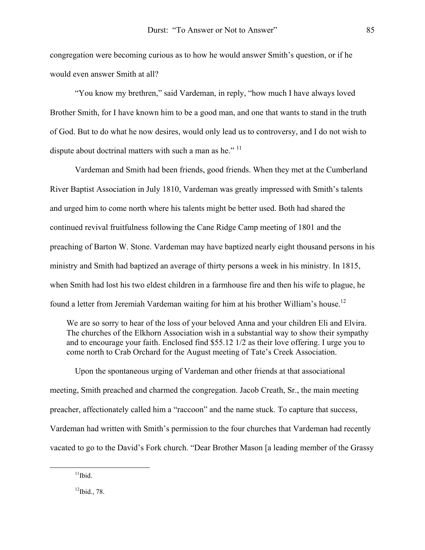congregation were becoming curious as to how he would answer Smith's question, or if he would even answer Smith at all?

"You know my brethren," said Vardeman, in reply, "how much I have always loved Brother Smith, for I have known him to be a good man, and one that wants to stand in the truth of God. But to do what he now desires, would only lead us to controversy, and I do not wish to dispute about doctrinal matters with such a man as he."<sup>[11](#page-4-0)</sup>

Vardeman and Smith had been friends, good friends. When they met at the Cumberland River Baptist Association in July 1810, Vardeman was greatly impressed with Smith's talents and urged him to come north where his talents might be better used. Both had shared the continued revival fruitfulness following the Cane Ridge Camp meeting of 1801 and the preaching of Barton W. Stone. Vardeman may have baptized nearly eight thousand persons in his ministry and Smith had baptized an average of thirty persons a week in his ministry. In 1815, when Smith had lost his two eldest children in a farmhouse fire and then his wife to plague, he found a letter from Jeremiah Vardeman waiting for him at his brother William's house.<sup>12</sup>

We are so sorry to hear of the loss of your beloved Anna and your children Eli and Elvira. The churches of the Elkhorn Association wish in a substantial way to show their sympathy and to encourage your faith. Enclosed find \$55.12 1/2 as their love offering. I urge you to come north to Crab Orchard for the August meeting of Tate's Creek Association.

Upon the spontaneous urging of Vardeman and other friends at that associational meeting, Smith preached and charmed the congregation. Jacob Creath, Sr., the main meeting preacher, affectionately called him a "raccoon" and the name stuck. To capture that success, Vardeman had written with Smith's permission to the four churches that Vardeman had recently vacated to go to the David's Fork church. "Dear Brother Mason [a leading member of the Grassy

<span id="page-4-0"></span> $11$ Ibid.

<span id="page-4-1"></span> $12$ Ibid., 78.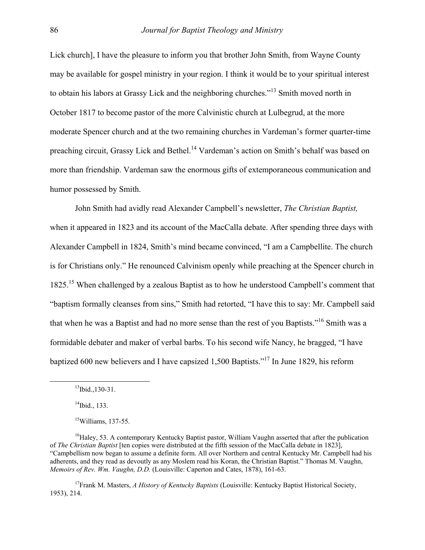Lick church], I have the pleasure to inform you that brother John Smith, from Wayne County may be available for gospel ministry in your region. I think it would be to your spiritual interest to obtain his labors at Grassy Lick and the neighboring churches."[13](#page-5-0) Smith moved north in October 1817 to become pastor of the more Calvinistic church at Lulbegrud, at the more moderate Spencer church and at the two remaining churches in Vardeman's former quarter-time preaching circuit, Grassy Lick and Bethel.<sup>14</sup> Vardeman's action on Smith's behalf was based on more than friendship. Vardeman saw the enormous gifts of extemporaneous communication and humor possessed by Smith.

John Smith had avidly read Alexander Campbell's newsletter, *The Christian Baptist,* when it appeared in 1823 and its account of the MacCalla debate. After spending three days with Alexander Campbell in 1824, Smith's mind became convinced, "I am a Campbellite. The church is for Christians only." He renounced Calvinism openly while preaching at the Spencer church in 1825.<sup>15</sup> When challenged by a zealous Baptist as to how he understood Campbell's comment that "baptism formally cleanses from sins," Smith had retorted, "I have this to say: Mr. Campbell said that when he was a Baptist and had no more sense than the rest of you Baptists."[16](#page-5-3) Smith was a formidable debater and maker of verbal barbs. To his second wife Nancy, he bragged, "I have baptized 600 new believers and I have capsized 1,500 Baptists."[17](#page-5-4) In June 1829, his reform

<span id="page-5-4"></span><sup>17</sup>Frank M. Masters, *A History of Kentucky Baptists* (Louisville: Kentucky Baptist Historical Society, 1953), 214.

<span id="page-5-0"></span> $13$ Ibid., 130-31.

<span id="page-5-1"></span> $14$ Ibid., 133.

<span id="page-5-3"></span><span id="page-5-2"></span> $15$ Williams, 137-55.

 $16$ Haley, 53. A contemporary Kentucky Baptist pastor, William Vaughn asserted that after the publication of *The Christian Baptist* [ten copies were distributed at the fifth session of the MacCalla debate in 1823], "Campbellism now began to assume a definite form. All over Northern and central Kentucky Mr. Campbell had his adherents, and they read as devoutly as any Moslem read his Koran, the Christian Baptist." Thomas M. Vaughn, *Memoirs of Rev. Wm. Vaughn, D.D.* (Louisville: Caperton and Cates, 1878), 161-63.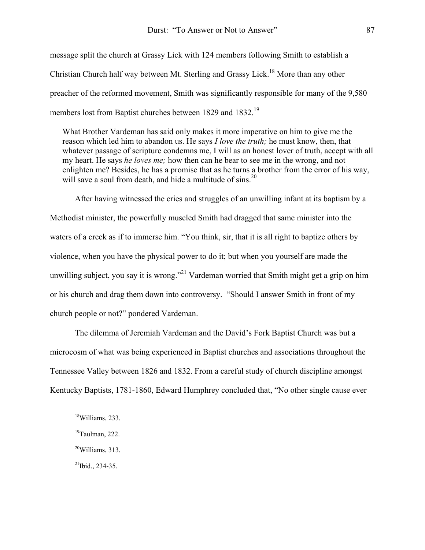message split the church at Grassy Lick with 124 members following Smith to establish a Christian Church half way between Mt. Sterling and Grassy Lick.<sup>18</sup> More than any other preacher of the reformed movement, Smith was significantly responsible for many of the 9,580 members lost from Baptist churches between 1829 and 1832.[19](#page-6-1) 

What Brother Vardeman has said only makes it more imperative on him to give me the reason which led him to abandon us. He says *I love the truth;* he must know, then, that whatever passage of scripture condemns me, I will as an honest lover of truth, accept with all my heart. He says *he loves me;* how then can he bear to see me in the wrong, and not enlighten me? Besides, he has a promise that as he turns a brother from the error of his way, will save a soul from death, and hide a multitude of  $sins$ <sup>[20](#page-6-2)</sup>

After having witnessed the cries and struggles of an unwilling infant at its baptism by a Methodist minister, the powerfully muscled Smith had dragged that same minister into the waters of a creek as if to immerse him. "You think, sir, that it is all right to baptize others by violence, when you have the physical power to do it; but when you yourself are made the unwilling subject, you say it is wrong."<sup>21</sup> Vardeman worried that Smith might get a grip on him or his church and drag them down into controversy. "Should I answer Smith in front of my church people or not?" pondered Vardeman.

The dilemma of Jeremiah Vardeman and the David's Fork Baptist Church was but a microcosm of what was being experienced in Baptist churches and associations throughout the Tennessee Valley between 1826 and 1832. From a careful study of church discipline amongst Kentucky Baptists, 1781-1860, Edward Humphrey concluded that, "No other single cause ever

<span id="page-6-0"></span> <sup>18</sup>Williams, 233.

<span id="page-6-1"></span> $19$ Taulman, 222.

<span id="page-6-2"></span> $20$ Williams, 313.

<span id="page-6-3"></span> $^{21}$ Ibid., 234-35.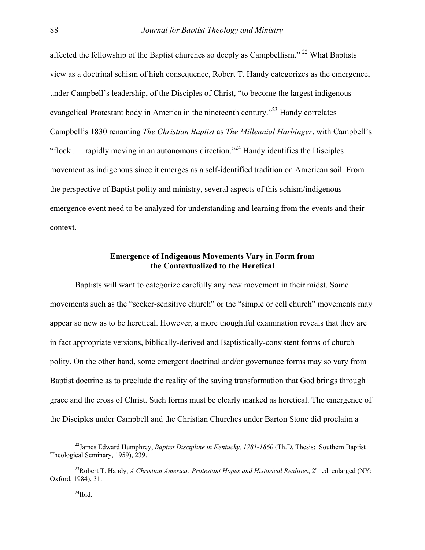affected the fellowship of the Baptist churches so deeply as Campbellism." [22 W](#page-7-0)hat Baptists view as a doctrinal schism of high consequence, Robert T. Handy categorizes as the emergence, under Campbell's leadership, of the Disciples of Christ, "to become the largest indigenous evangelical Protestant body in America in the nineteenth century.<sup>223</sup> Handy correlates Campbell's 1830 renaming *The Christian Baptist* as *The Millennial Harbinger*, with Campbell's "flock . . . rapidly moving in an autonomous direction."[24](#page-7-2) Handy identifies the Disciples movement as indigenous since it emerges as a self-identified tradition on American soil. From the perspective of Baptist polity and ministry, several aspects of this schism/indigenous emergence event need to be analyzed for understanding and learning from the events and their context.

# **Emergence of Indigenous Movements Vary in Form from the Contextualized to the Heretical**

Baptists will want to categorize carefully any new movement in their midst. Some movements such as the "seeker-sensitive church" or the "simple or cell church" movements may appear so new as to be heretical. However, a more thoughtful examination reveals that they are in fact appropriate versions, biblically-derived and Baptistically-consistent forms of church polity. On the other hand, some emergent doctrinal and/or governance forms may so vary from Baptist doctrine as to preclude the reality of the saving transformation that God brings through grace and the cross of Christ. Such forms must be clearly marked as heretical. The emergence of the Disciples under Campbell and the Christian Churches under Barton Stone did proclaim a

Theological Seminary, 1959), 239.

<span id="page-7-1"></span><span id="page-7-0"></span>22James Edward Humphrey, *Baptist Discipline in Kentucky, 1781-1860* (Th.D. Thesis: Southern Baptist

<span id="page-7-2"></span><sup>&</sup>lt;sup>23</sup>Robert T. Handy, *A Christian America: Protestant Hopes and Historical Realities*,  $2<sup>nd</sup>$  ed. enlarged (NY: Oxford, 1984), 31.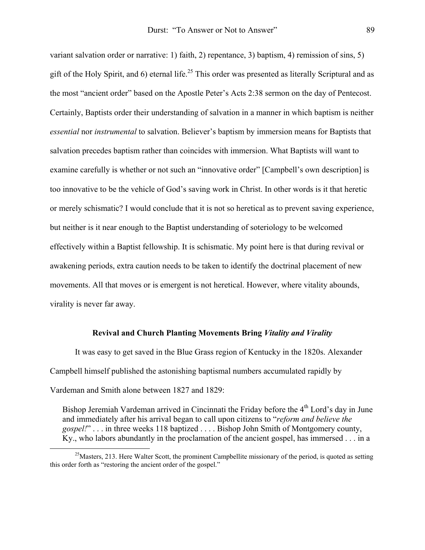variant salvation order or narrative: 1) faith, 2) repentance, 3) baptism, 4) remission of sins, 5) gift of the Holy Spirit, and 6) eternal life.<sup>25</sup> This order was presented as literally Scriptural and as the most "ancient order" based on the Apostle Peter's Acts 2:38 sermon on the day of Pentecost. Certainly, Baptists order their understanding of salvation in a manner in which baptism is neither *essential* nor *instrumental* to salvation. Believer's baptism by immersion means for Baptists that salvation precedes baptism rather than coincides with immersion. What Baptists will want to examine carefully is whether or not such an "innovative order" [Campbell's own description] is too innovative to be the vehicle of God's saving work in Christ. In other words is it that heretic or merely schismatic? I would conclude that it is not so heretical as to prevent saving experience, but neither is it near enough to the Baptist understanding of soteriology to be welcomed effectively within a Baptist fellowship. It is schismatic. My point here is that during revival or awakening periods, extra caution needs to be taken to identify the doctrinal placement of new movements. All that moves or is emergent is not heretical. However, where vitality abounds, virality is never far away.

#### **Revival and Church Planting Movements Bring** *Vitality and Virality*

It was easy to get saved in the Blue Grass region of Kentucky in the 1820s. Alexander Campbell himself published the astonishing baptismal numbers accumulated rapidly by Vardeman and Smith alone between 1827 and 1829:

Bishop Jeremiah Vardeman arrived in Cincinnati the Friday before the  $4<sup>th</sup>$  Lord's day in June and immediately after his arrival began to call upon citizens to "*reform and believe the gospel!*" . . . in three weeks 118 baptized . . . . Bishop John Smith of Montgomery county, Ky., who labors abundantly in the proclamation of the ancient gospel, has immersed . . . in a

<span id="page-8-0"></span> $25$ Masters, 213. Here Walter Scott, the prominent Campbellite missionary of the period, is quoted as setting this order forth as "restoring the ancient order of the gospel."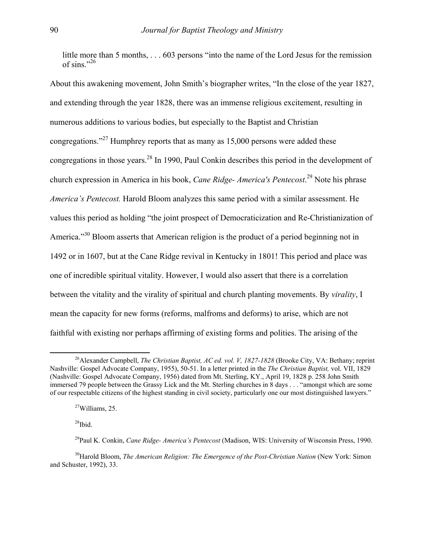little more than 5 months, . . . 603 persons "into the name of the Lord Jesus for the remission of sins." $26$ 

About this awakening movement, John Smith's biographer writes, "In the close of the year 1827, and extending through the year 1828, there was an immense religious excitement, resulting in numerous additions to various bodies, but especially to the Baptist and Christian congregations."<sup>27</sup> Humphrey reports that as many as  $15,000$  persons were added these congregations in those years.[28 I](#page-9-2)n 1990, Paul Conkin describes this period in the development of church expression in America in his book, *Cane Ridge- America's Pentecost*. [29](#page-9-3) Note his phrase *America's Pentecost.* Harold Bloom analyzes this same period with a similar assessment. He values this period as holding "the joint prospect of Democraticization and Re-Christianization of America.<sup>30</sup> Bloom asserts that American religion is the product of a period beginning not in 1492 or in 1607, but at the Cane Ridge revival in Kentucky in 1801! This period and place was one of incredible spiritual vitality. However, I would also assert that there is a correlation between the vitality and the virality of spiritual and church planting movements. By *virality*, I mean the capacity for new forms (reforms, malfroms and deforms) to arise, which are not faithful with existing nor perhaps affirming of existing forms and polities. The arising of the

<span id="page-9-2"></span> $28$ Ibid.

<span id="page-9-0"></span> <sup>26</sup>Alexander Campbell, *The Christian Baptist, AC ed. vol. V, 1827-1828* (Brooke City, VA: Bethany; reprint Nashville: Gospel Advocate Company, 1955), 50-51. In a letter printed in the *The Christian Baptist,* vol. VII, 1829 (Nashville: Gospel Advocate Company, 1956) dated from Mt. Sterling, KY., April 19, 1828 p. 258 John Smith immersed 79 people between the Grassy Lick and the Mt. Sterling churches in 8 days . . . "amongst which are some of our respectable citizens of the highest standing in civil society, particularly one our most distinguished lawyers."

<span id="page-9-1"></span> $27$ Williams, 25.

<span id="page-9-4"></span><span id="page-9-3"></span><sup>29</sup>Paul K. Conkin, *Cane Ridge- America's Pentecost* (Madison, WIS: University of Wisconsin Press, 1990.

<sup>&</sup>lt;sup>30</sup>Harold Bloom, *The American Religion: The Emergence of the Post-Christian Nation* (New York: Simon and Schuster, 1992), 33.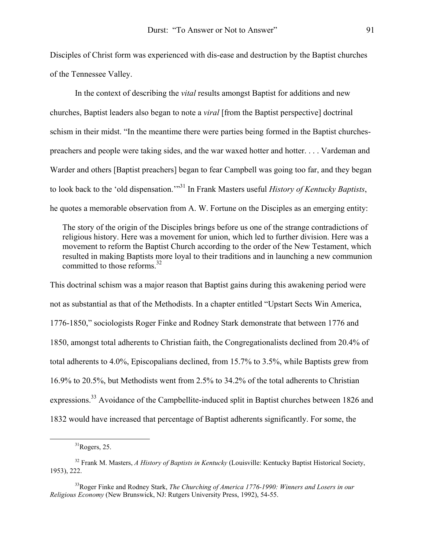Disciples of Christ form was experienced with dis-ease and destruction by the Baptist churches of the Tennessee Valley.

In the context of describing the *vital* results amongst Baptist for additions and new churches, Baptist leaders also began to note a *viral* [from the Baptist perspective] doctrinal schism in their midst. "In the meantime there were parties being formed in the Baptist churchespreachers and people were taking sides, and the war waxed hotter and hotter. . . . Vardeman and Warder and others [Baptist preachers] began to fear Campbell was going too far, and they began to look back to the 'old dispensation.'"[31](#page-10-0) In Frank Masters useful *History of Kentucky Baptists*, he quotes a memorable observation from A. W. Fortune on the Disciples as an emerging entity:

The story of the origin of the Disciples brings before us one of the strange contradictions of religious history. Here was a movement for union, which led to further division. Here was a movement to reform the Baptist Church according to the order of the New Testament, which resulted in making Baptists more loyal to their traditions and in launching a new communion committed to those reforms[.32](#page-10-1) 

This doctrinal schism was a major reason that Baptist gains during this awakening period were not as substantial as that of the Methodists. In a chapter entitled "Upstart Sects Win America, 1776-1850," sociologists Roger Finke and Rodney Stark demonstrate that between 1776 and 1850, amongst total adherents to Christian faith, the Congregationalists declined from 20.4% of total adherents to 4.0%, Episcopalians declined, from 15.7% to 3.5%, while Baptists grew from 16.9% to 20.5%, but Methodists went from 2.5% to 34.2% of the total adherents to Christian expressions.<sup>33</sup> Avoidance of the Campbellite-induced split in Baptist churches between 1826 and 1832 would have increased that percentage of Baptist adherents significantly. For some, the

<span id="page-10-1"></span><span id="page-10-0"></span> $31$ Rogers, 25.

<sup>32</sup> Frank M. Masters, *A History of Baptists in Kentucky* (Louisville: Kentucky Baptist Historical Society, 1953), 222.

<span id="page-10-2"></span><sup>33</sup>Roger Finke and Rodney Stark, *The Churching of America 1776-1990: Winners and Losers in our Religious Economy* (New Brunswick, NJ: Rutgers University Press, 1992), 54-55.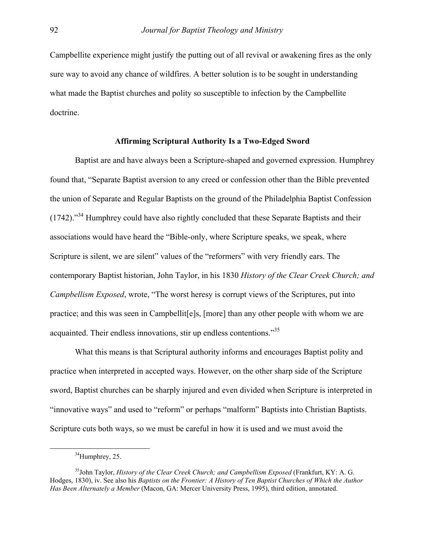Campbellite experience might justify the putting out of all revival or awakening fires as the only sure way to avoid any chance of wildfires. A better solution is to be sought in understanding what made the Baptist churches and polity so susceptible to infection by the Campbellite doctrine.

### **Affirming Scriptural Authority Is a Two-Edged Sword**

Baptist are and have always been a Scripture-shaped and governed expression. Humphrey found that, "Separate Baptist aversion to any creed or confession other than the Bible prevented the union of Separate and Regular Baptists on the ground of the Philadelphia Baptist Confession  $(1742)$ .<sup>34</sup> Humphrey could have also rightly concluded that these Separate Baptists and their associations would have heard the "Bible-only, where Scripture speaks, we speak, where Scripture is silent, we are silent" values of the "reformers" with very friendly ears. The contemporary Baptist historian, John Taylor, in his 1830 *History of the Clear Creek Church; and Campbellism Exposed*, wrote, "The worst heresy is corrupt views of the Scriptures, put into practice; and this was seen in Campbellit[e]s, [more] than any other people with whom we are acquainted. Their endless innovations, stir up endless contentions."[35](#page-11-1) 

What this means is that Scriptural authority informs and encourages Baptist polity and practice when interpreted in accepted ways. However, on the other sharp side of the Scripture sword, Baptist churches can be sharply injured and even divided when Scripture is interpreted in "innovative ways" and used to "reform" or perhaps "malform" Baptists into Christian Baptists. Scripture cuts both ways, so we must be careful in how it is used and we must avoid the

<span id="page-11-1"></span><span id="page-11-0"></span> $34$ Humphrey, 25.

<sup>35</sup>John Taylor, *History of the Clear Creek Church; and Campbellism Exposed* (Frankfurt, KY: A. G. Hodges, 1830), iv. See also his *Baptists on the Frontier: A History of Ten Baptist Churches of Which the Author Has Been Alternately a Member* (Macon, GA: Mercer University Press, 1995), third edition, annotated.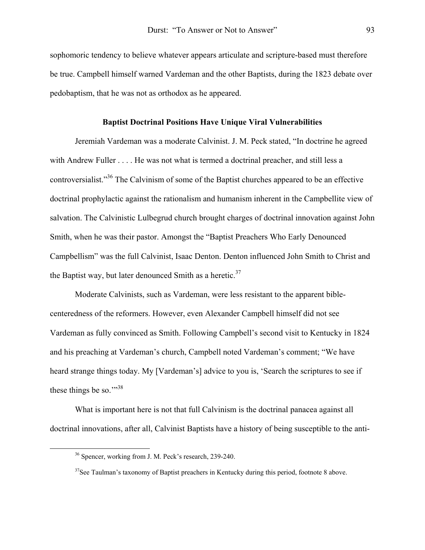sophomoric tendency to believe whatever appears articulate and scripture-based must therefore be true. Campbell himself warned Vardeman and the other Baptists, during the 1823 debate over pedobaptism, that he was not as orthodox as he appeared.

## **Baptist Doctrinal Positions Have Unique Viral Vulnerabilities**

Jeremiah Vardeman was a moderate Calvinist. J. M. Peck stated, "In doctrine he agreed with Andrew Fuller . . . . He was not what is termed a doctrinal preacher, and still less a controversialist."[36 T](#page-12-0)he Calvinism of some of the Baptist churches appeared to be an effective doctrinal prophylactic against the rationalism and humanism inherent in the Campbellite view of salvation. The Calvinistic Lulbegrud church brought charges of doctrinal innovation against John Smith, when he was their pastor. Amongst the "Baptist Preachers Who Early Denounced Campbellism" was the full Calvinist, Isaac Denton. Denton influenced John Smith to Christ and the Baptist way, but later denounced Smith as a heretic. $37$ 

Moderate Calvinists, such as Vardeman, were less resistant to the apparent biblecenteredness of the reformers. However, even Alexander Campbell himself did not see Vardeman as fully convinced as Smith. Following Campbell's second visit to Kentucky in 1824 and his preaching at Vardeman's church, Campbell noted Vardeman's comment; "We have heard strange things today. My [Vardeman's] advice to you is, 'Search the scriptures to see if these things be so."<sup>[38](#page-12-2)</sup>

What is important here is not that full Calvinism is the doctrinal panacea against all doctrinal innovations, after all, Calvinist Baptists have a history of being susceptible to the anti-

<span id="page-12-2"></span><span id="page-12-0"></span> <sup>36</sup> Spencer, working from J. M. Peck's research, 239-240.

<span id="page-12-1"></span> $37$ See Taulman's taxonomy of Baptist preachers in Kentucky during this period, footnote 8 above.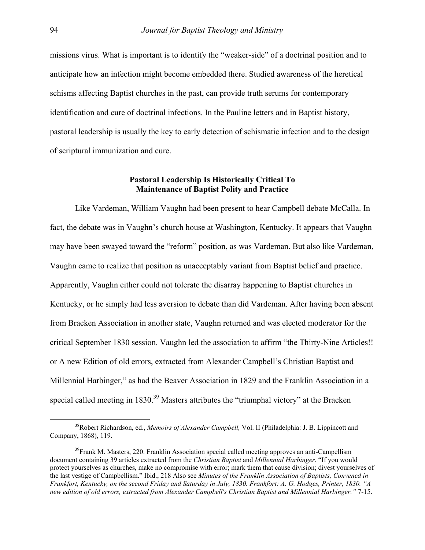missions virus. What is important is to identify the "weaker-side" of a doctrinal position and to anticipate how an infection might become embedded there. Studied awareness of the heretical schisms affecting Baptist churches in the past, can provide truth serums for contemporary identification and cure of doctrinal infections. In the Pauline letters and in Baptist history, pastoral leadership is usually the key to early detection of schismatic infection and to the design of scriptural immunization and cure.

## **Pastoral Leadership Is Historically Critical To Maintenance of Baptist Polity and Practice**

Like Vardeman, William Vaughn had been present to hear Campbell debate McCalla. In fact, the debate was in Vaughn's church house at Washington, Kentucky. It appears that Vaughn may have been swayed toward the "reform" position, as was Vardeman. But also like Vardeman, Vaughn came to realize that position as unacceptably variant from Baptist belief and practice. Apparently, Vaughn either could not tolerate the disarray happening to Baptist churches in Kentucky, or he simply had less aversion to debate than did Vardeman. After having been absent from Bracken Association in another state, Vaughn returned and was elected moderator for the critical September 1830 session. Vaughn led the association to affirm "the Thirty-Nine Articles!! or A new Edition of old errors, extracted from Alexander Campbell's Christian Baptist and Millennial Harbinger," as had the Beaver Association in 1829 and the Franklin Association in a special called meeting in  $1830^{39}$  Masters attributes the "triumphal victory" at the Bracken

 <sup>38</sup>Robert Richardson, ed., *Memoirs of Alexander Campbell,* Vol. II (Philadelphia: J. B. Lippincott and Company, 1868), 119.

<span id="page-13-0"></span><sup>&</sup>lt;sup>39</sup>Frank M. Masters, 220. Franklin Association special called meeting approves an anti-Campellism document containing 39 articles extracted from the *Christian Baptist* and *Millennial Harbinger*. "If you would protect yourselves as churches, make no compromise with error; mark them that cause division; divest yourselves of the last vestige of Campbellism." Ibid., 218 Also see *Minutes of the Franklin Association of Baptists, Convened in Frankfort, Kentucky, on the second Friday and Saturday in July, 1830. Frankfort: A. G. Hodges, Printer, 1830. "A new edition of old errors, extracted from Alexander Campbell's Christian Baptist and Millennial Harbinger."* 7-15.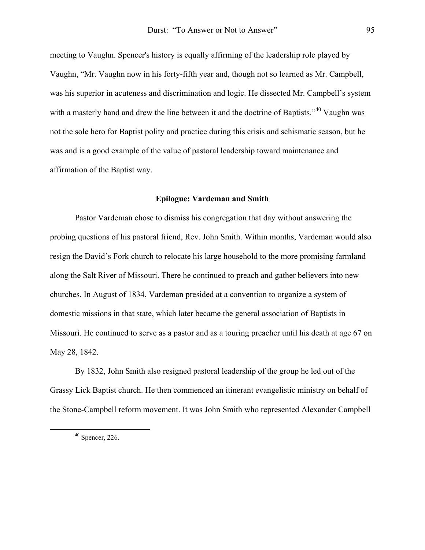meeting to Vaughn. Spencer's history is equally affirming of the leadership role played by Vaughn, "Mr. Vaughn now in his forty-fifth year and, though not so learned as Mr. Campbell, was his superior in acuteness and discrimination and logic. He dissected Mr. Campbell's system with a masterly hand and drew the line between it and the doctrine of Baptists."<sup>40</sup> Vaughn was not the sole hero for Baptist polity and practice during this crisis and schismatic season, but he was and is a good example of the value of pastoral leadership toward maintenance and affirmation of the Baptist way.

## **Epilogue: Vardeman and Smith**

Pastor Vardeman chose to dismiss his congregation that day without answering the probing questions of his pastoral friend, Rev. John Smith. Within months, Vardeman would also resign the David's Fork church to relocate his large household to the more promising farmland along the Salt River of Missouri. There he continued to preach and gather believers into new churches. In August of 1834, Vardeman presided at a convention to organize a system of domestic missions in that state, which later became the general association of Baptists in Missouri. He continued to serve as a pastor and as a touring preacher until his death at age 67 on May 28, 1842.

By 1832, John Smith also resigned pastoral leadership of the group he led out of the Grassy Lick Baptist church. He then commenced an itinerant evangelistic ministry on behalf of the Stone-Campbell reform movement. It was John Smith who represented Alexander Campbell

<span id="page-14-0"></span> <sup>40</sup> Spencer, 226.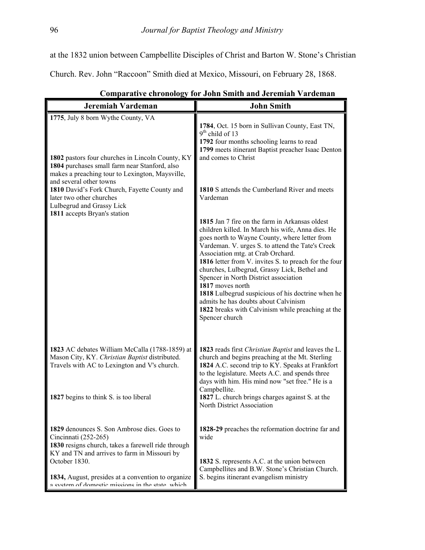at the 1832 union between Campbellite Disciples of Christ and Barton W. Stone's Christian

Church. Rev. John "Raccoon" Smith died at Mexico, Missouri, on February 28, 1868.

| Jeremiah Vardeman                                                                                                                                                                          | <b>John Smith</b>                                                                                                                                                                                                                                                                                                                                                                                                                                                                                                                                                                       |
|--------------------------------------------------------------------------------------------------------------------------------------------------------------------------------------------|-----------------------------------------------------------------------------------------------------------------------------------------------------------------------------------------------------------------------------------------------------------------------------------------------------------------------------------------------------------------------------------------------------------------------------------------------------------------------------------------------------------------------------------------------------------------------------------------|
| 1775, July 8 born Wythe County, VA<br>1802 pastors four churches in Lincoln County, KY<br>1804 purchases small farm near Stanford, also<br>makes a preaching tour to Lexington, Maysville, | 1784, Oct. 15 born in Sullivan County, East TN,<br>$9th$ child of 13<br>1792 four months schooling learns to read<br>1799 meets itinerant Baptist preacher Isaac Denton<br>and comes to Christ                                                                                                                                                                                                                                                                                                                                                                                          |
| and several other towns<br>1810 David's Fork Church, Fayette County and<br>later two other churches<br>Lulbegrud and Grassy Lick                                                           | 1810 S attends the Cumberland River and meets<br>Vardeman                                                                                                                                                                                                                                                                                                                                                                                                                                                                                                                               |
| 1811 accepts Bryan's station                                                                                                                                                               | 1815 Jan 7 fire on the farm in Arkansas oldest<br>children killed. In March his wife, Anna dies. He<br>goes north to Wayne County, where letter from<br>Vardeman. V. urges S. to attend the Tate's Creek<br>Association mtg. at Crab Orchard.<br>1816 letter from V. invites S. to preach for the four<br>churches, Lulbegrud, Grassy Lick, Bethel and<br>Spencer in North District association<br>1817 moves north<br>1818 Lulbegrud suspicious of his doctrine when he<br>admits he has doubts about Calvinism<br>1822 breaks with Calvinism while preaching at the<br>Spencer church |
| 1823 AC debates William McCalla (1788-1859) at<br>Mason City, KY. Christian Baptist distributed.<br>Travels with AC to Lexington and V's church.                                           | 1823 reads first Christian Baptist and leaves the L.<br>church and begins preaching at the Mt. Sterling<br>1824 A.C. second trip to KY. Speaks at Frankfort<br>to the legislature. Meets A.C. and spends three<br>days with him. His mind now "set free." He is a<br>Campbellite.                                                                                                                                                                                                                                                                                                       |
| 1827 begins to think S. is too liberal                                                                                                                                                     | 1827 L. church brings charges against S. at the<br>North District Association                                                                                                                                                                                                                                                                                                                                                                                                                                                                                                           |
| 1829 denounces S. Son Ambrose dies. Goes to<br>Cincinnati (252-265)<br>1830 resigns church, takes a farewell ride through<br>KY and TN and arrives to farm in Missouri by                  | 1828-29 preaches the reformation doctrine far and<br>wide                                                                                                                                                                                                                                                                                                                                                                                                                                                                                                                               |
| October 1830.<br>1834, August, presides at a convention to organize<br>a system of domestic missions in the state which                                                                    | 1832 S. represents A.C. at the union between<br>Campbellites and B.W. Stone's Christian Church.<br>S. begins itinerant evangelism ministry                                                                                                                                                                                                                                                                                                                                                                                                                                              |

 **Comparative chronology for John Smith and Jeremiah Vardeman**